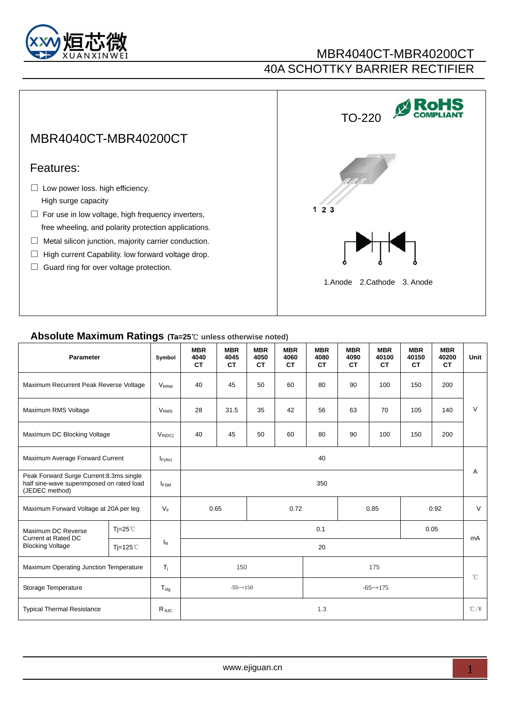

### MBR4040CT-MBR40200CT 40A SCHOTTKY BARRIER RECTIFIER

# MBR4040CT-MBR40200CT

#### Features:

- $\Box$  Low power loss. high efficiency. High surge capacity
- $\Box$  For use in low voltage, high frequency inverters, free wheeling, and polarity protection applications.
- □ Metal silicon junction, majority carrier conduction.
- □ High current Capability. low forward voltage drop.
- □ Guard ring for over voltage protection.



#### **Absolute Maximum Ratings (Ta=25**℃ **unless otherwise noted)**

| Parameter                                                                                               |                  | Symbol                 | <b>MBR</b><br>4040<br><b>CT</b> | <b>MBR</b><br>4045<br><b>CT</b> | <b>MBR</b><br>4050<br><b>CT</b> | <b>MBR</b><br>4060<br><b>CT</b> | <b>MBR</b><br>4080<br><b>CT</b> | <b>MBR</b><br>4090<br><b>CT</b> | <b>MBR</b><br>40100<br><b>CT</b> | <b>MBR</b><br>40150<br><b>CT</b> | <b>MBR</b><br>40200<br><b>CT</b> | Unit         |
|---------------------------------------------------------------------------------------------------------|------------------|------------------------|---------------------------------|---------------------------------|---------------------------------|---------------------------------|---------------------------------|---------------------------------|----------------------------------|----------------------------------|----------------------------------|--------------|
| Maximum Recurrent Peak Reverse Voltage                                                                  |                  | <b>VRRM</b>            | 40                              | 45                              | 50                              | 60                              | 80                              | 90                              | 100                              | 150                              | 200                              |              |
| Maximum RMS Voltage                                                                                     |                  | <b>V<sub>RMS</sub></b> | 28                              | 31.5                            | 35                              | 42                              | 56                              | 63                              | 70                               | 105                              | 140                              | $\vee$       |
| Maximum DC Blocking Voltage                                                                             |                  | $V_{R(DC)}$            | 40                              | 45                              | 50                              | 60                              | 80                              | 90                              | 100                              | 150                              | 200                              |              |
| Maximum Average Forward Current                                                                         |                  | $I_{F(AV)}$            | 40                              |                                 |                                 |                                 |                                 |                                 |                                  |                                  |                                  |              |
| Peak Forward Surge Current: 8.3ms single<br>half sine-wave superimposed on rated load<br>(JEDEC method) |                  | $I_{FSM}$              | 350                             |                                 |                                 |                                 |                                 |                                 |                                  |                                  | A                                |              |
| Maximum Forward Voltage at 20A per leg                                                                  |                  | $V_F$                  | 0.65<br>0.72<br>0.85<br>0.92    |                                 |                                 |                                 |                                 | $\vee$                          |                                  |                                  |                                  |              |
| Maximum DC Reverse<br><b>Current at Rated DC</b><br><b>Blocking Voltage</b>                             | Tj=25 $°C$       |                        | 0.1<br>0.05                     |                                 |                                 |                                 |                                 |                                 |                                  | mA                               |                                  |              |
|                                                                                                         | $Ti=125^{\circ}$ | $I_R$                  | 20                              |                                 |                                 |                                 |                                 |                                 |                                  |                                  |                                  |              |
| Maximum Operating Junction Temperature                                                                  |                  | $T_i$                  | 150                             |                                 |                                 | 175                             |                                 |                                 |                                  |                                  |                                  |              |
| Storage Temperature                                                                                     |                  | $T_{\text{stg}}$       |                                 | $-55-150$                       |                                 |                                 |                                 | $-65-175$                       |                                  |                                  |                                  | $^{\circ}$ C |
| <b>Typical Thermal Resistance</b>                                                                       |                  | $R_{\theta JC}$        | 1.3                             |                                 |                                 |                                 |                                 |                                 |                                  | $^{\circ}$ C/W                   |                                  |              |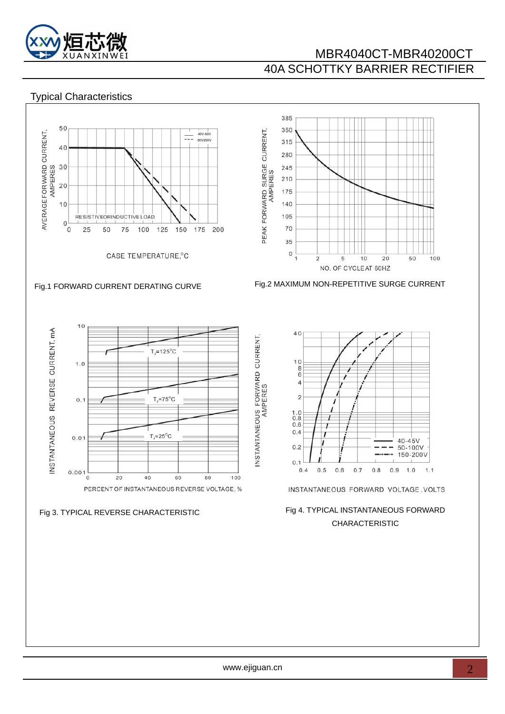

## MBR4040CT-MBR40200CT 40A SCHOTTKY BARRIER RECTIFIER

#### Typical Characteristics